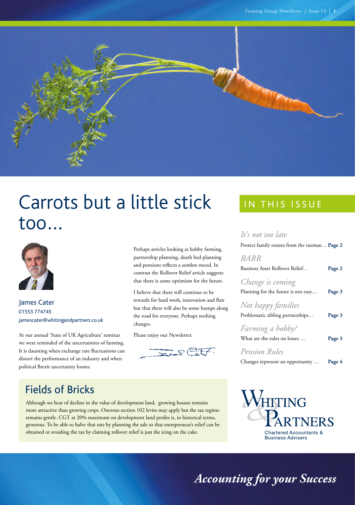

# Carrots but a little stick too…



James Cater 01553 774745 [jamescater@whitingandpartners.co.uk](mailto:jamescater%40whitingandpartners.co.uk?subject=)

At our annual 'State of UK Agriculture' seminar we were reminded of the uncertainties of farming. It is daunting when exchange rate fluctuations can distort the performance of an industry and when political Brexit uncertainty looms.

Perhaps articles looking at hobby farming, partnership planning, death bed planning and pensions reflects a sombre mood. In contrast the Rollover Relief article suggests that there is some optimism for the future.

I believe that there will continue to be rewards for hard work, innovation and flair but that there will also be some bumps along the road for everyone. Perhaps nothing changes.

Please enjoy our Newsletter.



### IN THIS ISSUE

### *[It's not too late](#page-1-0)*

*[BARR](#page-1-0)* 

[Protect family estates from the taxman…](#page-1-0)**Page 2**

| RARR                                |        |
|-------------------------------------|--------|
| Business Asset Rollover Relief      | Page 2 |
| Change is coming                    |        |
| Planning for the future is not easy | Page 3 |
| Not happy families                  |        |
| Problematic sibling partnerships    | Page 3 |
| Farming a hobby?                    |        |
| What are the rules on losses        | Page 3 |
| <b>Pension Rules</b>                |        |

| Changes represent an opportunity |  | Page 4 |
|----------------------------------|--|--------|



Although we hear of decline in the value of development land, growing houses remains more attractive than growing crops. Onerous section 102 levies may apply but the tax regime remains gentle. CGT at 20% maximum on development land profits is, in historical terms, generous. To be able to halve that rate by planning the sale so that entrepreneur's relief can be obtained or avoiding the tax by claiming rollover relief is just the icing on the cake.



*Accounting for your Success*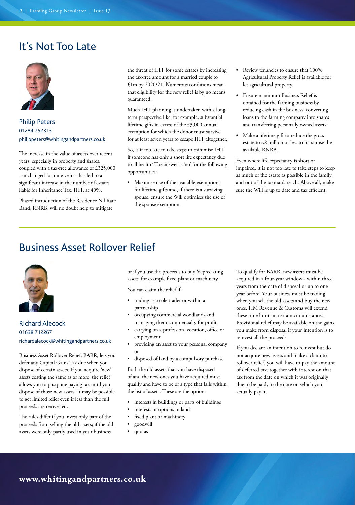### <span id="page-1-0"></span>It's Not Too Late



Philip Peters 01284 752313 [philippeters@whitingandpartners.co.uk](mailto:philippeters%40whitingandpartners.co.uk?subject=)

The increase in the value of assets over recent years, especially in property and shares, coupled with a tax-free allowance of £325,000 - unchanged for nine years - has led to a significant increase in the number of estates liable for Inheritance Tax, IHT, at 40%.

Phased introduction of the Residence Nil Rate Band, RNRB, will no doubt help to mitigate

the threat of IHT for some estates by increasing the tax-free amount for a married couple to £1m by 2020/21. Numerous conditions mean that eligibility for the new relief is by no means guaranteed.

Much IHT planning is undertaken with a longterm perspective like, for example, substantial lifetime gifts in excess of the £3,000 annual exemption for which the donor must survive for at least seven years to escape IHT altogether.

So, is it too late to take steps to minimise IHT if someone has only a short life expectancy due to ill health? The answer is 'no' for the following opportunities:

• Maximise use of the available exemptions for lifetime gifts and, if there is a surviving spouse, ensure the Will optimises the use of the spouse exemption.

- Review tenancies to ensure that 100% Agricultural Property Relief is available for let agricultural property.
- Ensure maximum Business Relief is obtained for the farming business by reducing cash in the business, converting loans to the farming company into shares and transferring personally owned assets.
- Make a lifetime gift to reduce the gross estate to £2 million or less to maximise the available RNRB.

Even where life expectancy is short or impaired, it is not too late to take steps to keep as much of the estate as possible in the family and out of the taxman's reach. Above all, make sure the Will is up to date and tax efficient.

### Business Asset Rollover Relief



Richard Alecock 01638 712267 [richardalecock@whitingandpartners.co.uk](mailto:richardalecock%40whitingandpartners.co.uk?subject=) 

Business Asset Rollover Relief, BARR, lets you defer any Capital Gains Tax due when you dispose of certain assets. If you acquire 'new' assets costing the same as or more, the relief allows you to postpone paying tax until you dispose of those new assets. It may be possible to get limited relief even if less than the full proceeds are reinvested.

The rules differ if you invest only part of the proceeds from selling the old assets; if the old assets were only partly used in your business

or if you use the proceeds to buy 'depreciating assets' for example fixed plant or machinery.

You can claim the relief if:

- trading as a sole trader or within a partnership
- occupying commercial woodlands and managing them commercially for profit
- carrying on a profession, vocation, office or employment
- providing an asset to your personal company or
- disposed of land by a compulsory purchase.

Both the old assets that you have disposed of and the new ones you have acquired must qualify and have to be of a type that falls within the list of assets. These are the options:

- interests in buildings or parts of buildings
- interests or options in land
- fixed plant or machinery
- goodwill
- quotas

To qualify for BARR, new assets must be acquired in a four-year window - within three years from the date of disposal or up to one year before. Your business must be trading when you sell the old assets and buy the new ones. HM Revenue & Customs will extend these time limits in certain circumstances. Provisional relief may be available on the gains you make from disposal if your intention is to reinvest all the proceeds.

If you declare an intention to reinvest but do not acquire new assets and make a claim to rollover relief, you will have to pay the amount of deferred tax, together with interest on that tax from the date on which it was originally due to be paid, to the date on which you actually pay it.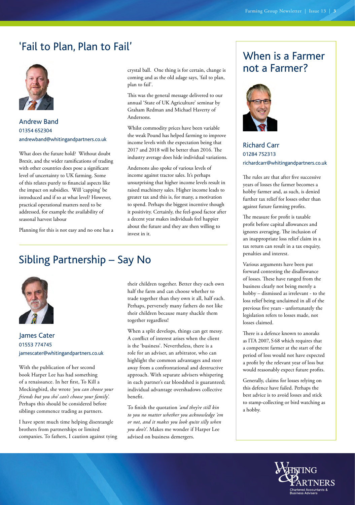### <span id="page-2-0"></span>'Fail to Plan, Plan to Fail'



Andrew Band 01354 652304 [andrewband@whitingandpartners.co.uk](mailto:andrewband%40whitingandpartners.co.uk?subject=)

What does the future hold? Without doubt Brexit, and the wider ramifications of trading with other countries does pose a significant level of uncertainty to UK farming. Some of this relates purely to financial aspects like the impact on subsidies. Will 'capping' be introduced and if so at what level? However, practical operational matters need to be addressed, for example the availability of seasonal harvest labour

Planning for this is not easy and no one has a

crystal ball. One thing is for certain, change is coming and as the old adage says, 'fail to plan, plan to fail'.

This was the general message delivered to our annual 'State of UK Agriculture' seminar by Graham Redman and Michael Haverty of Andersons.

Whilst commodity prices have been variable the weak Pound has helped farming to improve income levels with the expectation being that 2017 and 2018 will be better than 2016. The industry average does hide individual variations.

Andersons also spoke of various levels of income against tractor sales. It's perhaps unsurprising that higher income levels result in raised machinery sales. Higher income leads to greater tax and this is, for many, a motivation to spend. Perhaps the biggest incentive though it positivity. Certainly, the feel-good factor after a decent year makes individuals feel happier about the future and they are then willing to invest in it.

### Sibling Partnership – Say No



James Cater 01553 774745 [jamescater@whitingandpartners.co.uk](mailto:jamescater%40whitingandpartners.co.uk?subject=)

With the publication of her second book Harper Lee has had something of a renaissance. In her first, To Kill a Mockingbird, she wrote *'you can choose your friends but you sho' can't choose your family'.*  Perhaps this should be considered before siblings commence trading as partners.

I have spent much time helping disentangle brothers from partnerships or limited companies. To fathers, I caution against tying

their children together. Better they each own half the farm and can choose whether to trade together than they own it all, half each. Perhaps, perversely many fathers do not like their children because many shackle them together regardless!

When a split develops, things can get messy. A conflict of interest arises when the client is the 'business'. Nevertheless, there is a role for an adviser, an arbitrator, who can highlight the common advantages and steer away from a confrontational and destructive approach. With separate advisers whispering in each partner's ear bloodshed is guaranteed; individual advantage overshadows collective benefit.

To finish the quotation *'and they're still kin to you no matter whether you acknowledge 'em or not, and it makes you look quite silly when you don't'*. Makes me wonder if Harper Lee advised on business demergers.

# When is a Farmer not a Farmer?



Richard Carr 01284 752313 [richardcarr@whitingandpartners.co.uk](mailto:richardcarr%40whitingandpartners.co.uk?subject=) 

The rules are that after five successive years of losses the farmer becomes a hobby farmer and, as such, is denied further tax relief for losses other than against future farming profits.

The measure for profit is taxable profit before capital allowances and ignores averaging. The inclusion of an inappropriate loss relief claim in a tax return can result in a tax enquiry, penalties and interest.

Various arguments have been put forward contesting the disallowance of losses. These have ranged from the business clearly not being merely a hobby – dismissed as irrelevant - to the loss relief being unclaimed in all of the previous five years - unfortunately the legislation refers to losses made, not losses claimed.

There is a defence known to anoraks as ITA 2007, S 68 which requires that a competent farmer at the start of the period of loss would not have expected a profit by the relevant year of loss but would reasonably expect future profits.

Generally, claims for losses relying on this defence have failed. Perhaps the best advice is to avoid losses and stick to stamp-collecting or bird watching as a hobby.